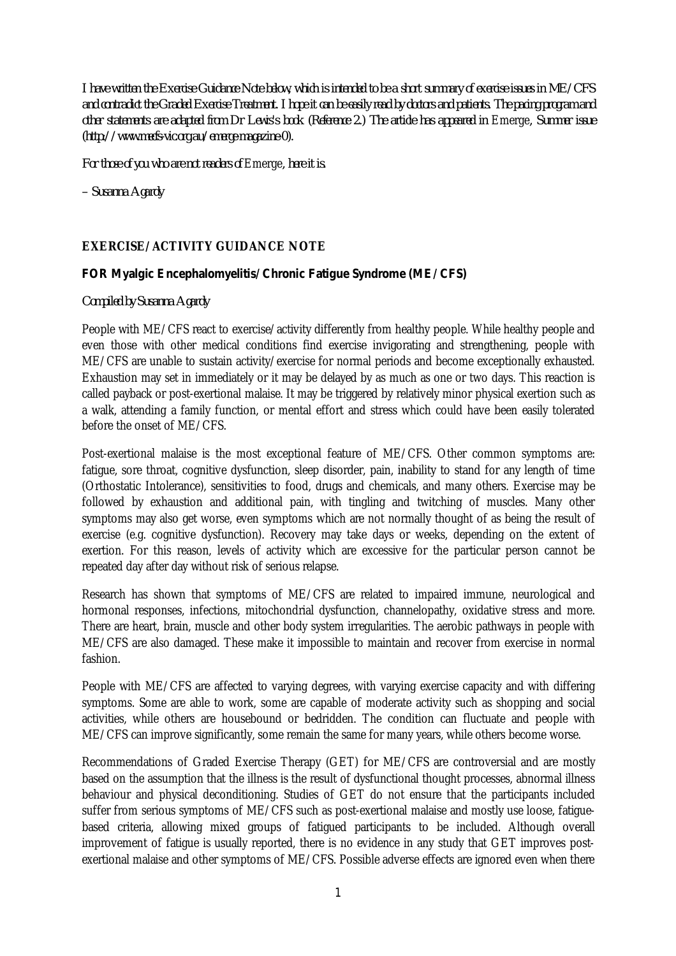*I have written the Exercise Guidance Note below, which is intended to be a short summary of exercise issues in ME/CFS and contradict the Graded Exercise Treatment. I hope it can be easily read by doctors and patients. The pacing program and*  other statements are adapted from Dr Lewis's book (Reference 2.) The article has appeared in Emerge, Summer issue *(http://www.mecfs-vic.org.au/emerge-magazine-0).*

*For those of you who are not readers of* Emerge*, here it is.*

*– Susanna Agardy*

## **EXERCISE/ACTIVITY GUIDANCE NOTE**

## *FOR Myalgic Encephalomyelitis/Chronic Fatigue Syndrome (ME/CFS)*

## *Compiled by Susanna Agardy*

People with ME/CFS react to exercise/activity differently from healthy people. While healthy people and even those with other medical conditions find exercise invigorating and strengthening, people with ME/CFS are unable to sustain activity/exercise for normal periods and become exceptionally exhausted. Exhaustion may set in immediately or it may be delayed by as much as one or two days. This reaction is called payback or post-exertional malaise. It may be triggered by relatively minor physical exertion such as a walk, attending a family function, or mental effort and stress which could have been easily tolerated before the onset of ME/CFS.

Post-exertional malaise is the most exceptional feature of ME/CFS. Other common symptoms are: fatigue, sore throat, cognitive dysfunction, sleep disorder, pain, inability to stand for any length of time (Orthostatic Intolerance), sensitivities to food, drugs and chemicals, and many others. Exercise may be followed by exhaustion and additional pain, with tingling and twitching of muscles. Many other symptoms may also get worse, even symptoms which are not normally thought of as being the result of exercise (e.g. cognitive dysfunction). Recovery may take days or weeks, depending on the extent of exertion. For this reason, levels of activity which are excessive for the particular person cannot be repeated day after day without risk of serious relapse.

Research has shown that symptoms of ME/CFS are related to impaired immune, neurological and hormonal responses, infections, mitochondrial dysfunction, channelopathy, oxidative stress and more. There are heart, brain, muscle and other body system irregularities. The aerobic pathways in people with ME/CFS are also damaged. These make it impossible to maintain and recover from exercise in normal fashion.

People with ME/CFS are affected to varying degrees, with varying exercise capacity and with differing symptoms. Some are able to work, some are capable of moderate activity such as shopping and social activities, while others are housebound or bedridden. The condition can fluctuate and people with ME/CFS can improve significantly, some remain the same for many years, while others become worse.

Recommendations of Graded Exercise Therapy (GET) for ME/CFS are controversial and are mostly based on the assumption that the illness is the result of dysfunctional thought processes, abnormal illness behaviour and physical deconditioning. Studies of GET do not ensure that the participants included suffer from serious symptoms of ME/CFS such as post-exertional malaise and mostly use loose, fatiguebased criteria, allowing mixed groups of fatigued participants to be included. Although overall improvement of fatigue is usually reported, there is no evidence in any study that GET improves postexertional malaise and other symptoms of ME/CFS. Possible adverse effects are ignored even when there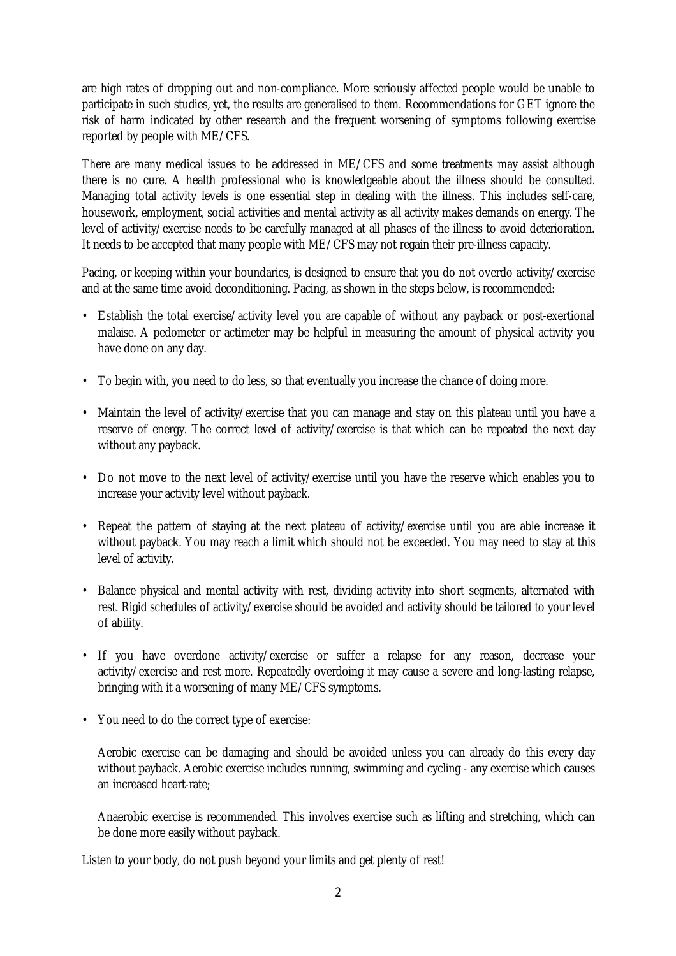are high rates of dropping out and non-compliance. More seriously affected people would be unable to participate in such studies, yet, the results are generalised to them. Recommendations for GET ignore the risk of harm indicated by other research and the frequent worsening of symptoms following exercise reported by people with ME/CFS.

There are many medical issues to be addressed in ME/CFS and some treatments may assist although there is no cure. A health professional who is knowledgeable about the illness should be consulted. Managing total activity levels is one essential step in dealing with the illness. This includes self-care, housework, employment, social activities and mental activity as all activity makes demands on energy. The level of activity/exercise needs to be carefully managed at all phases of the illness to avoid deterioration. It needs to be accepted that many people with ME/CFS may not regain their pre-illness capacity.

Pacing, or keeping within your boundaries, is designed to ensure that you do not overdo activity/exercise and at the same time avoid deconditioning. Pacing, as shown in the steps below, is recommended:

- Establish the total exercise/activity level you are capable of without any payback or post-exertional malaise. A pedometer or actimeter may be helpful in measuring the amount of physical activity you have done on any day.
- To begin with, you need to do less, so that eventually you increase the chance of doing more.
- Maintain the level of activity/exercise that you can manage and stay on this plateau until you have a reserve of energy. The correct level of activity/exercise is that which can be repeated the next day without any payback.
- Do not move to the next level of activity/exercise until you have the reserve which enables you to increase your activity level without payback.
- Repeat the pattern of staying at the next plateau of activity/exercise until you are able increase it without payback. You may reach a limit which should not be exceeded. You may need to stay at this level of activity.
- Balance physical and mental activity with rest, dividing activity into short segments, alternated with rest. Rigid schedules of activity/exercise should be avoided and activity should be tailored to your level of ability.
- If you have overdone activity/exercise or suffer a relapse for any reason, decrease your activity/exercise and rest more. Repeatedly overdoing it may cause a severe and long-lasting relapse, bringing with it a worsening of many ME/CFS symptoms.
- You need to do the correct type of exercise:

Aerobic exercise can be damaging and should be avoided unless you can already do this every day without payback. Aerobic exercise includes running, swimming and cycling - any exercise which causes an increased heart-rate;

Anaerobic exercise is recommended. This involves exercise such as lifting and stretching, which can be done more easily without payback.

Listen to your body, do not push beyond your limits and get plenty of rest!